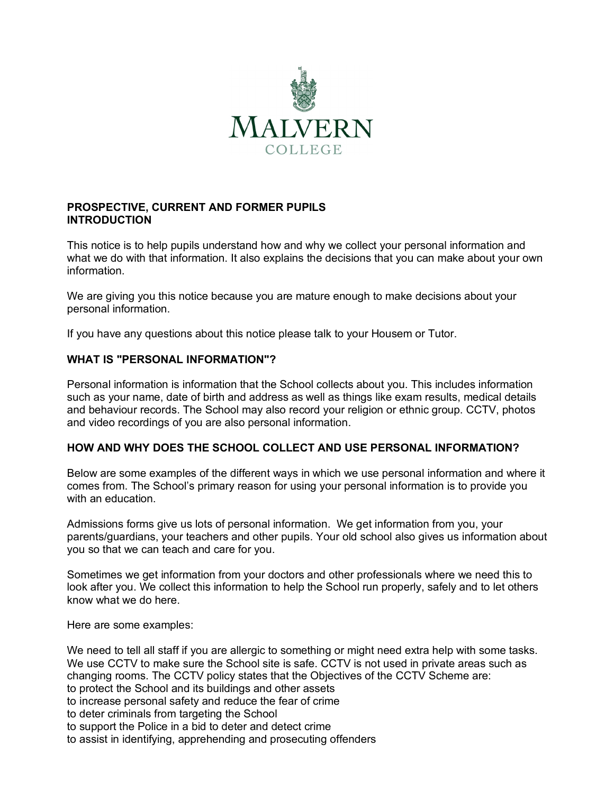

# **PROSPECTIVE, CURRENT AND FORMER PUPILS INTRODUCTION**

This notice is to help pupils understand how and why we collect your personal information and what we do with that information. It also explains the decisions that you can make about your own information.

We are giving you this notice because you are mature enough to make decisions about your personal information.

If you have any questions about this notice please talk to your Housem or Tutor.

### **WHAT IS "PERSONAL INFORMATION"?**

Personal information is information that the School collects about you. This includes information such as your name, date of birth and address as well as things like exam results, medical details and behaviour records. The School may also record your religion or ethnic group. CCTV, photos and video recordings of you are also personal information.

### **HOW AND WHY DOES THE SCHOOL COLLECT AND USE PERSONAL INFORMATION?**

Below are some examples of the different ways in which we use personal information and where it comes from. The School's primary reason for using your personal information is to provide you with an education.

Admissions forms give us lots of personal information. We get information from you, your parents/guardians, your teachers and other pupils. Your old school also gives us information about you so that we can teach and care for you.

Sometimes we get information from your doctors and other professionals where we need this to look after you. We collect this information to help the School run properly, safely and to let others know what we do here.

Here are some examples:

We need to tell all staff if you are allergic to something or might need extra help with some tasks. We use CCTV to make sure the School site is safe. CCTV is not used in private areas such as changing rooms. The CCTV policy states that the Objectives of the CCTV Scheme are: to protect the School and its buildings and other assets to increase personal safety and reduce the fear of crime to deter criminals from targeting the School to support the Police in a bid to deter and detect crime

to assist in identifying, apprehending and prosecuting offenders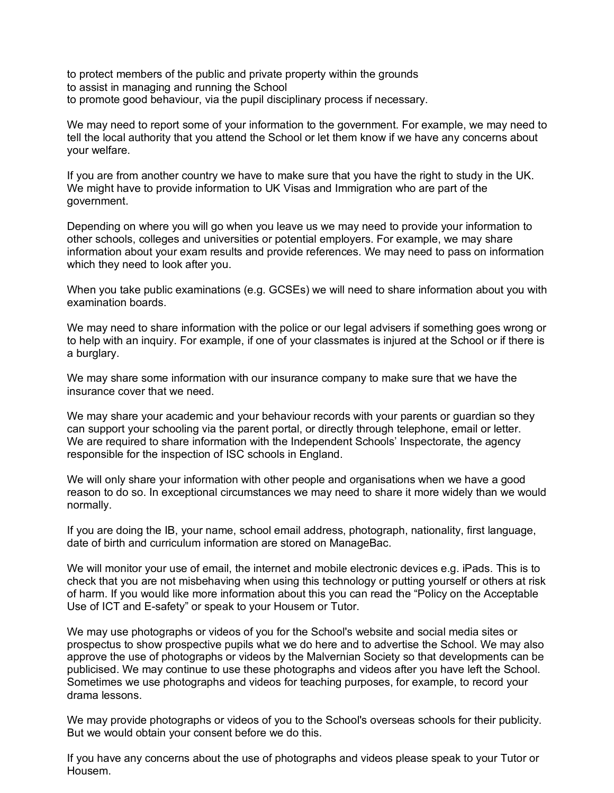to protect members of the public and private property within the grounds to assist in managing and running the School to promote good behaviour, via the pupil disciplinary process if necessary.

We may need to report some of your information to the government. For example, we may need to tell the local authority that you attend the School or let them know if we have any concerns about your welfare.

If you are from another country we have to make sure that you have the right to study in the UK. We might have to provide information to UK Visas and Immigration who are part of the government.

Depending on where you will go when you leave us we may need to provide your information to other schools, colleges and universities or potential employers. For example, we may share information about your exam results and provide references. We may need to pass on information which they need to look after you.

When you take public examinations (e.g. GCSEs) we will need to share information about you with examination boards.

We may need to share information with the police or our legal advisers if something goes wrong or to help with an inquiry. For example, if one of your classmates is injured at the School or if there is a burglary.

We may share some information with our insurance company to make sure that we have the insurance cover that we need.

We may share your academic and your behaviour records with your parents or guardian so they can support your schooling via the parent portal, or directly through telephone, email or letter. We are required to share information with the Independent Schools' Inspectorate, the agency responsible for the inspection of ISC schools in England.

We will only share your information with other people and organisations when we have a good reason to do so. In exceptional circumstances we may need to share it more widely than we would normally.

If you are doing the IB, your name, school email address, photograph, nationality, first language, date of birth and curriculum information are stored on ManageBac.

We will monitor your use of email, the internet and mobile electronic devices e.g. iPads. This is to check that you are not misbehaving when using this technology or putting yourself or others at risk of harm. If you would like more information about this you can read the "Policy on the Acceptable Use of ICT and E-safety" or speak to your Housem or Tutor.

We may use photographs or videos of you for the School's website and social media sites or prospectus to show prospective pupils what we do here and to advertise the School. We may also approve the use of photographs or videos by the Malvernian Society so that developments can be publicised. We may continue to use these photographs and videos after you have left the School. Sometimes we use photographs and videos for teaching purposes, for example, to record your drama lessons.

We may provide photographs or videos of you to the School's overseas schools for their publicity. But we would obtain your consent before we do this.

If you have any concerns about the use of photographs and videos please speak to your Tutor or Housem.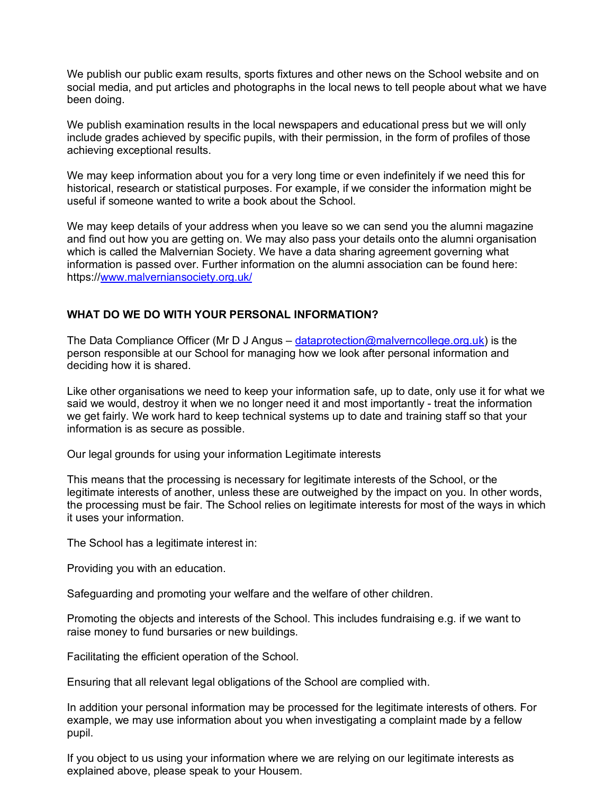We publish our public exam results, sports fixtures and other news on the School website and on social media, and put articles and photographs in the local news to tell people about what we have been doing.

We publish examination results in the local newspapers and educational press but we will only include grades achieved by specific pupils, with their permission, in the form of profiles of those achieving exceptional results.

We may keep information about you for a very long time or even indefinitely if we need this for historical, research or statistical purposes. For example, if we consider the information might be useful if someone wanted to write a book about the School.

We may keep details of your address when you leave so we can send you the alumni magazine and find out how you are getting on. We may also pass your details onto the alumni organisation which is called the Malvernian Society. We have a data sharing agreement governing what information is passed over. Further information on the alumni association can be found here: https://www.malverniansociety.org.uk/

### **WHAT DO WE DO WITH YOUR PERSONAL INFORMATION?**

The Data Compliance Officer (Mr D J Angus – dataprotection@malverncollege.org.uk) is the person responsible at our School for managing how we look after personal information and deciding how it is shared.

Like other organisations we need to keep your information safe, up to date, only use it for what we said we would, destroy it when we no longer need it and most importantly - treat the information we get fairly. We work hard to keep technical systems up to date and training staff so that your information is as secure as possible.

Our legal grounds for using your information Legitimate interests

This means that the processing is necessary for legitimate interests of the School, or the legitimate interests of another, unless these are outweighed by the impact on you. In other words, the processing must be fair. The School relies on legitimate interests for most of the ways in which it uses your information.

The School has a legitimate interest in:

Providing you with an education.

Safeguarding and promoting your welfare and the welfare of other children.

Promoting the objects and interests of the School. This includes fundraising e.g. if we want to raise money to fund bursaries or new buildings.

Facilitating the efficient operation of the School.

Ensuring that all relevant legal obligations of the School are complied with.

In addition your personal information may be processed for the legitimate interests of others. For example, we may use information about you when investigating a complaint made by a fellow pupil.

If you object to us using your information where we are relying on our legitimate interests as explained above, please speak to your Housem.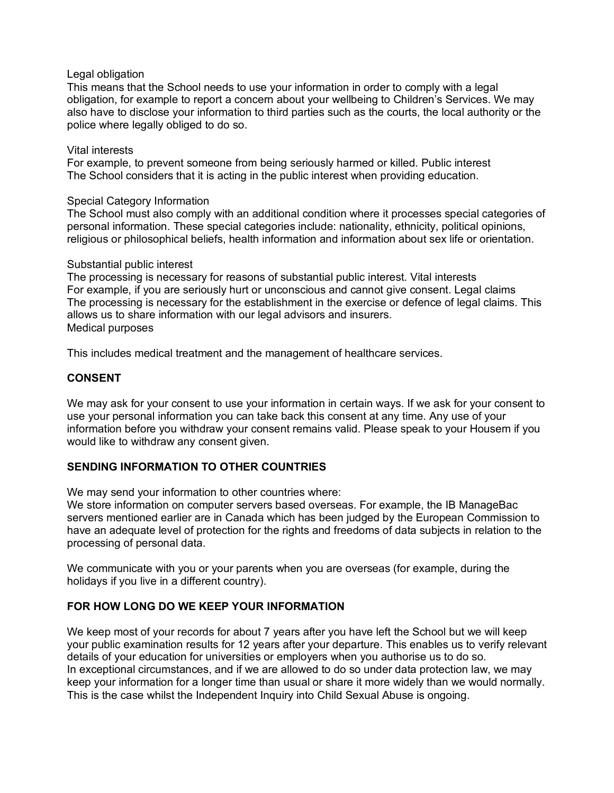#### Legal obligation

This means that the School needs to use your information in order to comply with a legal obligation, for example to report a concern about your wellbeing to Children's Services. We may also have to disclose your information to third parties such as the courts, the local authority or the police where legally obliged to do so.

#### Vital interests

For example, to prevent someone from being seriously harmed or killed. Public interest The School considers that it is acting in the public interest when providing education.

#### Special Category Information

The School must also comply with an additional condition where it processes special categories of personal information. These special categories include: nationality, ethnicity, political opinions, religious or philosophical beliefs, health information and information about sex life or orientation.

#### Substantial public interest

The processing is necessary for reasons of substantial public interest. Vital interests For example, if you are seriously hurt or unconscious and cannot give consent. Legal claims The processing is necessary for the establishment in the exercise or defence of legal claims. This allows us to share information with our legal advisors and insurers. Medical purposes

This includes medical treatment and the management of healthcare services.

# **CONSENT**

We may ask for your consent to use your information in certain ways. If we ask for your consent to use your personal information you can take back this consent at any time. Any use of your information before you withdraw your consent remains valid. Please speak to your Housem if you would like to withdraw any consent given.

### **SENDING INFORMATION TO OTHER COUNTRIES**

We may send your information to other countries where:

We store information on computer servers based overseas. For example, the IB ManageBac servers mentioned earlier are in Canada which has been judged by the European Commission to have an adequate level of protection for the rights and freedoms of data subjects in relation to the processing of personal data.

We communicate with you or your parents when you are overseas (for example, during the holidays if you live in a different country).

### **FOR HOW LONG DO WE KEEP YOUR INFORMATION**

We keep most of your records for about 7 years after you have left the School but we will keep your public examination results for 12 years after your departure. This enables us to verify relevant details of your education for universities or employers when you authorise us to do so. In exceptional circumstances, and if we are allowed to do so under data protection law, we may keep your information for a longer time than usual or share it more widely than we would normally. This is the case whilst the Independent Inquiry into Child Sexual Abuse is ongoing.